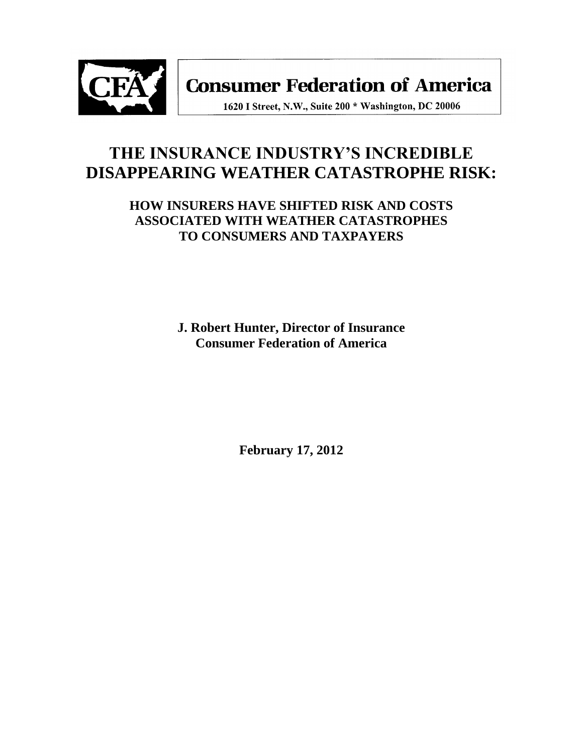

**Consumer Federation of America** 

1620 I Street, N.W., Suite 200 \* Washington, DC 20006

# **THE INSURANCE INDUSTRY'S INCREDIBLE DISAPPEARING WEATHER CATASTROPHE RISK:**

**HOW INSURERS HAVE SHIFTED RISK AND COSTS ASSOCIATED WITH WEATHER CATASTROPHES TO CONSUMERS AND TAXPAYERS**

> **J. Robert Hunter, Director of Insurance Consumer Federation of America**

> > **February 17, 2012**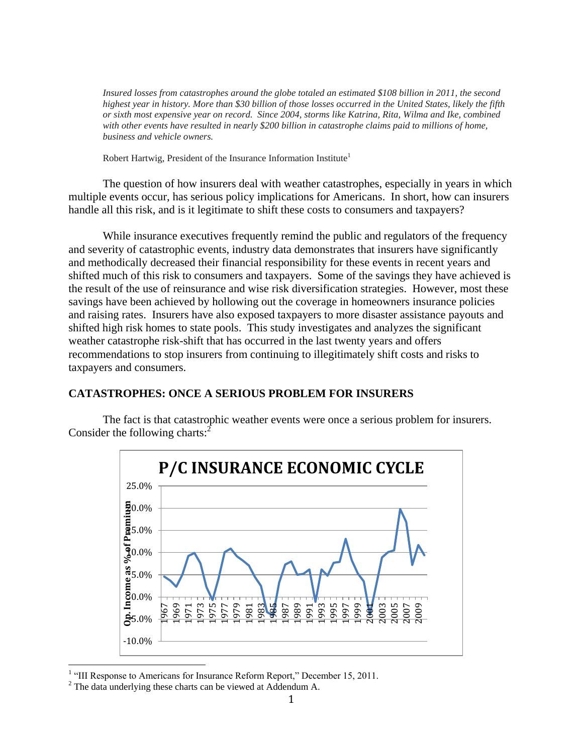*Insured losses from catastrophes around the globe totaled an estimated \$108 billion in 2011, the second highest year in history. More than \$30 billion of those losses occurred in the United States, likely the fifth or sixth most expensive year on record. Since 2004, storms like Katrina, Rita, Wilma and Ike, combined with other events have resulted in nearly \$200 billion in catastrophe claims paid to millions of home, business and vehicle owners.*

Robert Hartwig, President of the Insurance Information Institute<sup>1</sup>

The question of how insurers deal with weather catastrophes, especially in years in which multiple events occur, has serious policy implications for Americans. In short, how can insurers handle all this risk, and is it legitimate to shift these costs to consumers and taxpayers?

While insurance executives frequently remind the public and regulators of the frequency and severity of catastrophic events, industry data demonstrates that insurers have significantly and methodically decreased their financial responsibility for these events in recent years and shifted much of this risk to consumers and taxpayers. Some of the savings they have achieved is the result of the use of reinsurance and wise risk diversification strategies. However, most these savings have been achieved by hollowing out the coverage in homeowners insurance policies and raising rates. Insurers have also exposed taxpayers to more disaster assistance payouts and shifted high risk homes to state pools. This study investigates and analyzes the significant weather catastrophe risk-shift that has occurred in the last twenty years and offers recommendations to stop insurers from continuing to illegitimately shift costs and risks to taxpayers and consumers.

# **CATASTROPHES: ONCE A SERIOUS PROBLEM FOR INSURERS**

The fact is that catastrophic weather events were once a serious problem for insurers. Consider the following charts: $\frac{2}{3}$ 



<sup>&</sup>lt;sup>1</sup> "III Response to Americans for Insurance Reform Report," December 15, 2011.

<sup>&</sup>lt;sup>2</sup> The data underlying these charts can be viewed at Addendum A.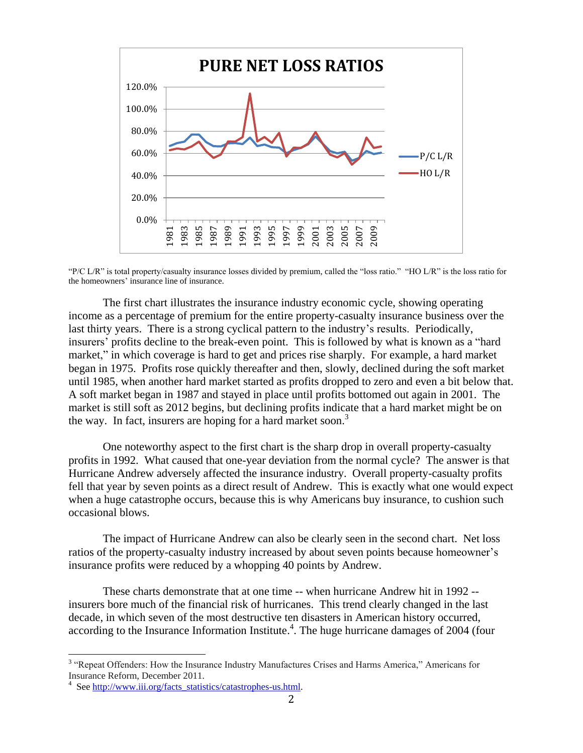

"P/C L/R" is total property/casualty insurance losses divided by premium, called the "loss ratio." "HO L/R" is the loss ratio for the homeowners' insurance line of insurance.

The first chart illustrates the insurance industry economic cycle, showing operating income as a percentage of premium for the entire property-casualty insurance business over the last thirty years. There is a strong cyclical pattern to the industry's results. Periodically, insurers' profits decline to the break-even point. This is followed by what is known as a "hard market," in which coverage is hard to get and prices rise sharply. For example, a hard market began in 1975. Profits rose quickly thereafter and then, slowly, declined during the soft market until 1985, when another hard market started as profits dropped to zero and even a bit below that. A soft market began in 1987 and stayed in place until profits bottomed out again in 2001. The market is still soft as 2012 begins, but declining profits indicate that a hard market might be on the way. In fact, insurers are hoping for a hard market soon.<sup>3</sup>

One noteworthy aspect to the first chart is the sharp drop in overall property-casualty profits in 1992. What caused that one-year deviation from the normal cycle? The answer is that Hurricane Andrew adversely affected the insurance industry. Overall property-casualty profits fell that year by seven points as a direct result of Andrew. This is exactly what one would expect when a huge catastrophe occurs, because this is why Americans buy insurance, to cushion such occasional blows.

The impact of Hurricane Andrew can also be clearly seen in the second chart. Net loss ratios of the property-casualty industry increased by about seven points because homeowner's insurance profits were reduced by a whopping 40 points by Andrew.

These charts demonstrate that at one time -- when hurricane Andrew hit in 1992 - insurers bore much of the financial risk of hurricanes. This trend clearly changed in the last decade, in which seven of the most destructive ten disasters in American history occurred, according to the Insurance Information Institute.<sup>4</sup>. The huge hurricane damages of 2004 (four

<sup>&</sup>lt;sup>3</sup> "Repeat Offenders: How the Insurance Industry Manufactures Crises and Harms America," Americans for Insurance Reform, December 2011.

<sup>&</sup>lt;sup>4</sup> See [http://www.iii.org/facts\\_statistics/catastrophes-us.html.](http://www.iii.org/facts_statistics/catastrophes-us.html)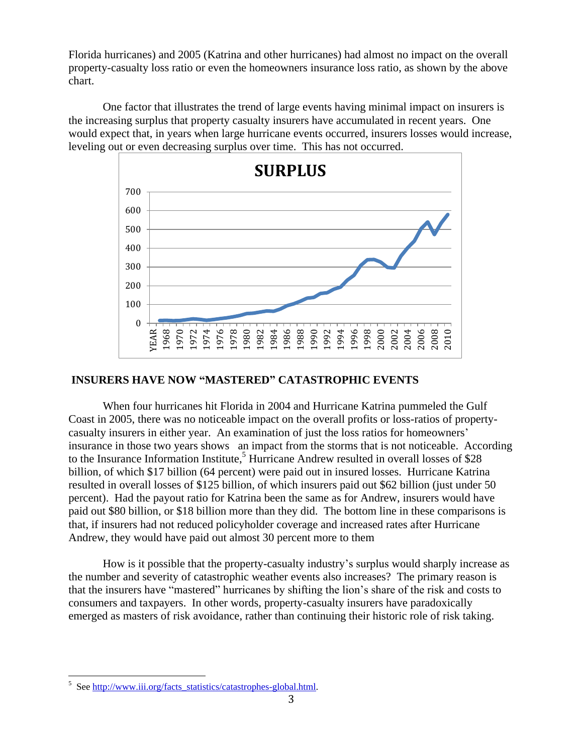Florida hurricanes) and 2005 (Katrina and other hurricanes) had almost no impact on the overall property-casualty loss ratio or even the homeowners insurance loss ratio, as shown by the above chart.

One factor that illustrates the trend of large events having minimal impact on insurers is the increasing surplus that property casualty insurers have accumulated in recent years. One would expect that, in years when large hurricane events occurred, insurers losses would increase, leveling out or even decreasing surplus over time. This has not occurred.



### **INSURERS HAVE NOW "MASTERED" CATASTROPHIC EVENTS**

When four hurricanes hit Florida in 2004 and Hurricane Katrina pummeled the Gulf Coast in 2005, there was no noticeable impact on the overall profits or loss-ratios of propertycasualty insurers in either year. An examination of just the loss ratios for homeowners' insurance in those two years shows an impact from the storms that is not noticeable. According to the Insurance Information Institute,<sup>5</sup> Hurricane Andrew resulted in overall losses of \$28 billion, of which \$17 billion (64 percent) were paid out in insured losses. Hurricane Katrina resulted in overall losses of \$125 billion, of which insurers paid out \$62 billion (just under 50 percent). Had the payout ratio for Katrina been the same as for Andrew, insurers would have paid out \$80 billion, or \$18 billion more than they did. The bottom line in these comparisons is that, if insurers had not reduced policyholder coverage and increased rates after Hurricane Andrew, they would have paid out almost 30 percent more to them

How is it possible that the property-casualty industry's surplus would sharply increase as the number and severity of catastrophic weather events also increases? The primary reason is that the insurers have "mastered" hurricanes by shifting the lion's share of the risk and costs to consumers and taxpayers. In other words, property-casualty insurers have paradoxically emerged as masters of risk avoidance, rather than continuing their historic role of risk taking.

<sup>&</sup>lt;sup>5</sup> See [http://www.iii.org/facts\\_statistics/catastrophes-global.html.](http://www.iii.org/facts_statistics/catastrophes-global.html)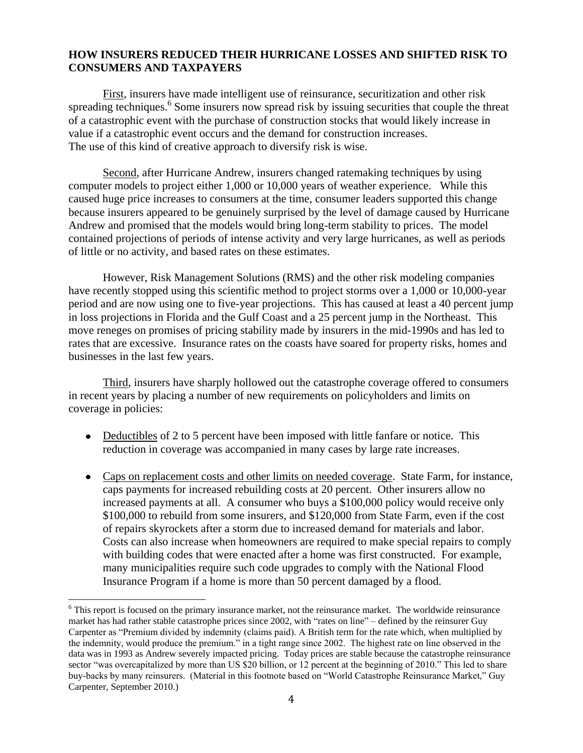### **HOW INSURERS REDUCED THEIR HURRICANE LOSSES AND SHIFTED RISK TO CONSUMERS AND TAXPAYERS**

First, insurers have made intelligent use of reinsurance, securitization and other risk spreading techniques.<sup>6</sup> Some insurers now spread risk by issuing securities that couple the threat of a catastrophic event with the purchase of construction stocks that would likely increase in value if a catastrophic event occurs and the demand for construction increases. The use of this kind of creative approach to diversify risk is wise.

Second, after Hurricane Andrew, insurers changed ratemaking techniques by using computer models to project either 1,000 or 10,000 years of weather experience. While this caused huge price increases to consumers at the time, consumer leaders supported this change because insurers appeared to be genuinely surprised by the level of damage caused by Hurricane Andrew and promised that the models would bring long-term stability to prices. The model contained projections of periods of intense activity and very large hurricanes, as well as periods of little or no activity, and based rates on these estimates.

However, Risk Management Solutions (RMS) and the other risk modeling companies have recently stopped using this scientific method to project storms over a 1,000 or 10,000-year period and are now using one to five-year projections. This has caused at least a 40 percent jump in loss projections in Florida and the Gulf Coast and a 25 percent jump in the Northeast. This move reneges on promises of pricing stability made by insurers in the mid-1990s and has led to rates that are excessive. Insurance rates on the coasts have soared for property risks, homes and businesses in the last few years.

Third, insurers have sharply hollowed out the catastrophe coverage offered to consumers in recent years by placing a number of new requirements on policyholders and limits on coverage in policies:

- Deductibles of 2 to 5 percent have been imposed with little fanfare or notice. This reduction in coverage was accompanied in many cases by large rate increases.
- Caps on replacement costs and other limits on needed coverage. State Farm, for instance, caps payments for increased rebuilding costs at 20 percent. Other insurers allow no increased payments at all. A consumer who buys a \$100,000 policy would receive only \$100,000 to rebuild from some insurers, and \$120,000 from State Farm, even if the cost of repairs skyrockets after a storm due to increased demand for materials and labor. Costs can also increase when homeowners are required to make special repairs to comply with building codes that were enacted after a home was first constructed. For example, many municipalities require such code upgrades to comply with the National Flood Insurance Program if a home is more than 50 percent damaged by a flood.

<sup>6</sup> This report is focused on the primary insurance market, not the reinsurance market. The worldwide reinsurance market has had rather stable catastrophe prices since 2002, with "rates on line" – defined by the reinsurer Guy Carpenter as "Premium divided by indemnity (claims paid). A British term for the rate which, when multiplied by the indemnity, would produce the premium." in a tight range since 2002. The highest rate on line observed in the data was in 1993 as Andrew severely impacted pricing. Today prices are stable because the catastrophe reinsurance sector "was overcapitalized by more than US \$20 billion, or 12 percent at the beginning of 2010." This led to share buy-backs by many reinsurers. (Material in this footnote based on "World Catastrophe Reinsurance Market," Guy Carpenter, September 2010.)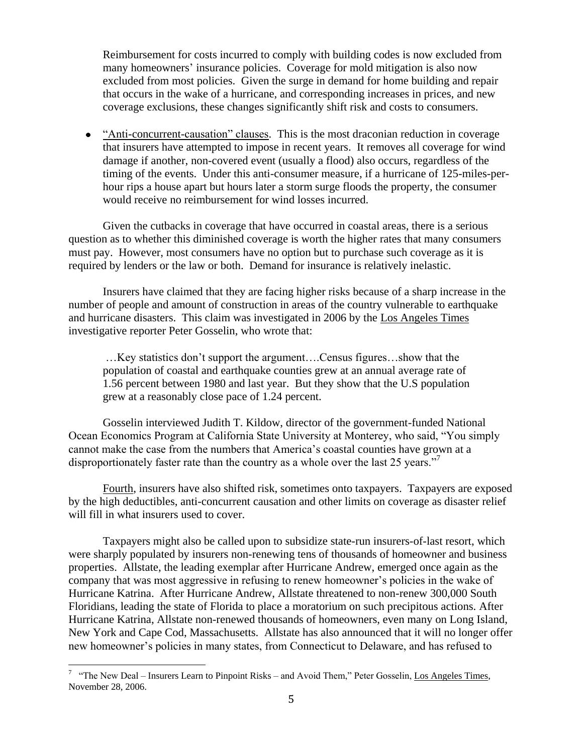Reimbursement for costs incurred to comply with building codes is now excluded from many homeowners' insurance policies. Coverage for mold mitigation is also now excluded from most policies. Given the surge in demand for home building and repair that occurs in the wake of a hurricane, and corresponding increases in prices, and new coverage exclusions, these changes significantly shift risk and costs to consumers.

• "Anti-concurrent-causation" clauses. This is the most draconian reduction in coverage that insurers have attempted to impose in recent years. It removes all coverage for wind damage if another, non-covered event (usually a flood) also occurs, regardless of the timing of the events. Under this anti-consumer measure, if a hurricane of 125-miles-perhour rips a house apart but hours later a storm surge floods the property, the consumer would receive no reimbursement for wind losses incurred.

Given the cutbacks in coverage that have occurred in coastal areas, there is a serious question as to whether this diminished coverage is worth the higher rates that many consumers must pay. However, most consumers have no option but to purchase such coverage as it is required by lenders or the law or both. Demand for insurance is relatively inelastic.

Insurers have claimed that they are facing higher risks because of a sharp increase in the number of people and amount of construction in areas of the country vulnerable to earthquake and hurricane disasters. This claim was investigated in 2006 by the Los Angeles Times investigative reporter Peter Gosselin, who wrote that:

…Key statistics don't support the argument….Census figures…show that the population of coastal and earthquake counties grew at an annual average rate of 1.56 percent between 1980 and last year. But they show that the U.S population grew at a reasonably close pace of 1.24 percent.

Gosselin interviewed Judith T. Kildow, director of the government-funded National Ocean Economics Program at California State University at Monterey, who said, "You simply cannot make the case from the numbers that America's coastal counties have grown at a disproportionately faster rate than the country as a whole over the last 25 years.<sup> $7\text{ }$ </sup>

Fourth, insurers have also shifted risk, sometimes onto taxpayers. Taxpayers are exposed by the high deductibles, anti-concurrent causation and other limits on coverage as disaster relief will fill in what insurers used to cover.

Taxpayers might also be called upon to subsidize state-run insurers-of-last resort, which were sharply populated by insurers non-renewing tens of thousands of homeowner and business properties. Allstate, the leading exemplar after Hurricane Andrew, emerged once again as the company that was most aggressive in refusing to renew homeowner's policies in the wake of Hurricane Katrina. After Hurricane Andrew, Allstate threatened to non-renew 300,000 South Floridians, leading the state of Florida to place a moratorium on such precipitous actions. After Hurricane Katrina, Allstate non-renewed thousands of homeowners, even many on Long Island, New York and Cape Cod, Massachusetts. Allstate has also announced that it will no longer offer new homeowner's policies in many states, from Connecticut to Delaware, and has refused to

<sup>&</sup>lt;sup>7</sup> "The New Deal – Insurers Learn to Pinpoint Risks – and Avoid Them," Peter Gosselin, Los Angeles Times, November 28, 2006.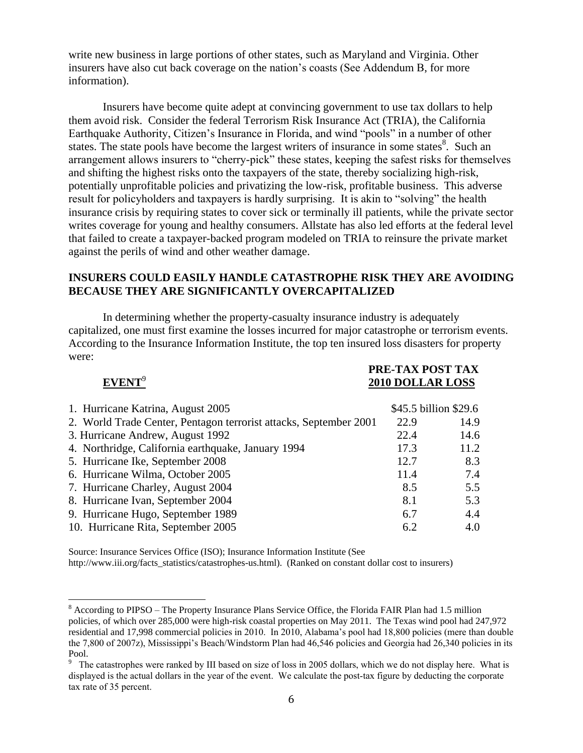write new business in large portions of other states, such as Maryland and Virginia. Other insurers have also cut back coverage on the nation's coasts (See Addendum B, for more information).

Insurers have become quite adept at convincing government to use tax dollars to help them avoid risk. Consider the federal Terrorism Risk Insurance Act (TRIA), the California Earthquake Authority, Citizen's Insurance in Florida, and wind "pools" in a number of other states. The state pools have become the largest writers of insurance in some states<sup>8</sup>. Such an arrangement allows insurers to "cherry-pick" these states, keeping the safest risks for themselves and shifting the highest risks onto the taxpayers of the state, thereby socializing high-risk, potentially unprofitable policies and privatizing the low-risk, profitable business. This adverse result for policyholders and taxpayers is hardly surprising. It is akin to "solving" the health insurance crisis by requiring states to cover sick or terminally ill patients, while the private sector writes coverage for young and healthy consumers. Allstate has also led efforts at the federal level that failed to create a taxpayer-backed program modeled on TRIA to reinsure the private market against the perils of wind and other weather damage.

### **INSURERS COULD EASILY HANDLE CATASTROPHE RISK THEY ARE AVOIDING BECAUSE THEY ARE SIGNIFICANTLY OVERCAPITALIZED**

In determining whether the property-casualty insurance industry is adequately capitalized, one must first examine the losses incurred for major catastrophe or terrorism events. According to the Insurance Information Institute, the top ten insured loss disasters for property were:

## **EVENT**<sup>9</sup>

 $\overline{a}$ 

 **PRE-TAX POST TAX 2010 DOLLAR LOSS** 

| 1. Hurricane Katrina, August 2005                                 |      | \$45.5 billion \$29.6 |
|-------------------------------------------------------------------|------|-----------------------|
| 2. World Trade Center, Pentagon terrorist attacks, September 2001 | 22.9 | 14.9                  |
| 3. Hurricane Andrew, August 1992                                  | 22.4 | 14.6                  |
| 4. Northridge, California earthquake, January 1994                | 17.3 | 11.2                  |
| 5. Hurricane Ike, September 2008                                  | 12.7 | 8.3                   |
| 6. Hurricane Wilma, October 2005                                  | 11.4 | 7.4                   |
| 7. Hurricane Charley, August 2004                                 | 8.5  | 5.5                   |
| 8. Hurricane Ivan, September 2004                                 | 8.1  | 5.3                   |
| 9. Hurricane Hugo, September 1989                                 | 6.7  | 4.4                   |
| 10. Hurricane Rita, September 2005                                | 6.2  | 4.0                   |

Source: Insurance Services Office (ISO); Insurance Information Institute (See http://www.iii.org/facts\_statistics/catastrophes-us.html). (Ranked on constant dollar cost to insurers)

<sup>8</sup> According to PIPSO – The Property Insurance Plans Service Office, the Florida FAIR Plan had 1.5 million policies, of which over 285,000 were high-risk coastal properties on May 2011. The Texas wind pool had 247,972 residential and 17,998 commercial policies in 2010. In 2010, Alabama's pool had 18,800 policies (mere than double the 7,800 of 2007z), Mississippi's Beach/Windstorm Plan had 46,546 policies and Georgia had 26,340 policies in its Pool.

<sup>&</sup>lt;sup>9</sup> The catastrophes were ranked by III based on size of loss in 2005 dollars, which we do not display here. What is displayed is the actual dollars in the year of the event. We calculate the post-tax figure by deducting the corporate tax rate of 35 percent.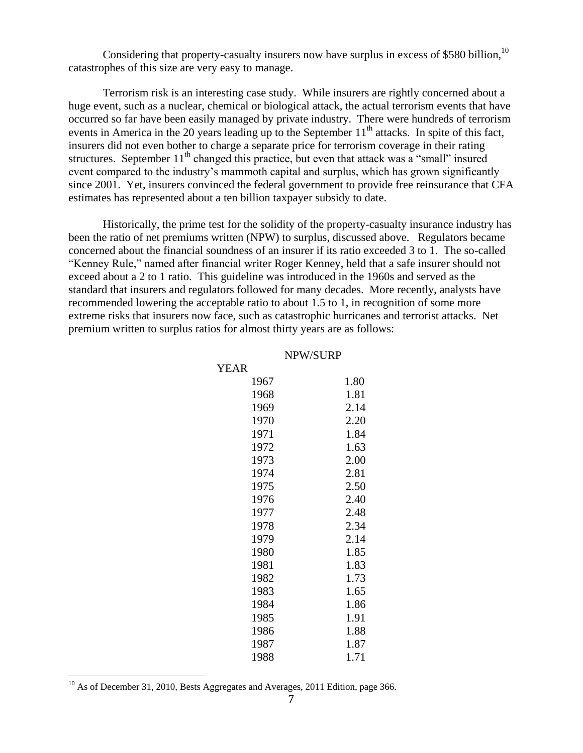Considering that property-casualty insurers now have surplus in excess of \$580 billion,  $^{10}$ catastrophes of this size are very easy to manage.

Terrorism risk is an interesting case study. While insurers are rightly concerned about a huge event, such as a nuclear, chemical or biological attack, the actual terrorism events that have occurred so far have been easily managed by private industry. There were hundreds of terrorism events in America in the 20 years leading up to the September  $11<sup>th</sup>$  attacks. In spite of this fact, insurers did not even bother to charge a separate price for terrorism coverage in their rating structures. September  $11<sup>th</sup>$  changed this practice, but even that attack was a "small" insured event compared to the industry's mammoth capital and surplus, which has grown significantly since 2001. Yet, insurers convinced the federal government to provide free reinsurance that CFA estimates has represented about a ten billion taxpayer subsidy to date.

Historically, the prime test for the solidity of the property-casualty insurance industry has been the ratio of net premiums written (NPW) to surplus, discussed above. Regulators became concerned about the financial soundness of an insurer if its ratio exceeded 3 to 1. The so-called ―Kenney Rule,‖ named after financial writer Roger Kenney, held that a safe insurer should not exceed about a 2 to 1 ratio. This guideline was introduced in the 1960s and served as the standard that insurers and regulators followed for many decades. More recently, analysts have recommended lowering the acceptable ratio to about 1.5 to 1, in recognition of some more extreme risks that insurers now face, such as catastrophic hurricanes and terrorist attacks. Net premium written to surplus ratios for almost thirty years are as follows:

| <b>YEAR</b> |      |
|-------------|------|
| 1967        | 1.80 |
| 1968        | 1.81 |
| 1969        | 2.14 |
| 1970        | 2.20 |
| 1971        | 1.84 |
| 1972        | 1.63 |
| 1973        | 2.00 |
| 1974        | 2.81 |
| 1975        | 2.50 |
| 1976        | 2.40 |
| 1977        | 2.48 |
| 1978        | 2.34 |
| 1979        | 2.14 |
| 1980        | 1.85 |
| 1981        | 1.83 |
| 1982        | 1.73 |
| 1983        | 1.65 |
| 1984        | 1.86 |
| 1985        | 1.91 |
| 1986        | 1.88 |
| 1987        | 1.87 |
| 1988        | 1.71 |

#### NPW/SURP

<sup>&</sup>lt;sup>10</sup> As of December 31, 2010, Bests Aggregates and Averages, 2011 Edition, page 366.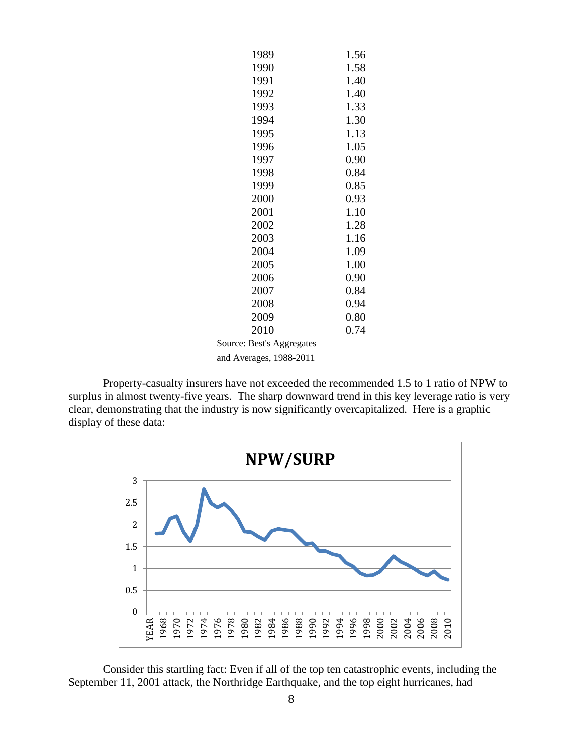| 1989                      | 1.56 |
|---------------------------|------|
| 1990                      | 1.58 |
| 1991                      | 1.40 |
| 1992                      | 1.40 |
| 1993                      | 1.33 |
| 1994                      | 1.30 |
| 1995                      | 1.13 |
| 1996                      | 1.05 |
| 1997                      | 0.90 |
| 1998                      | 0.84 |
| 1999                      | 0.85 |
| 2000                      | 0.93 |
| 2001                      | 1.10 |
| 2002                      | 1.28 |
| 2003                      | 1.16 |
| 2004                      | 1.09 |
| 2005                      | 1.00 |
| 2006                      | 0.90 |
| 2007                      | 0.84 |
| 2008                      | 0.94 |
| 2009                      | 0.80 |
| 2010                      | 0.74 |
| Source: Best's Aggregates |      |
| and Averages, 1988-2011   |      |

Property-casualty insurers have not exceeded the recommended 1.5 to 1 ratio of NPW to surplus in almost twenty-five years. The sharp downward trend in this key leverage ratio is very clear, demonstrating that the industry is now significantly overcapitalized. Here is a graphic display of these data:



Consider this startling fact: Even if all of the top ten catastrophic events, including the September 11, 2001 attack, the Northridge Earthquake, and the top eight hurricanes, had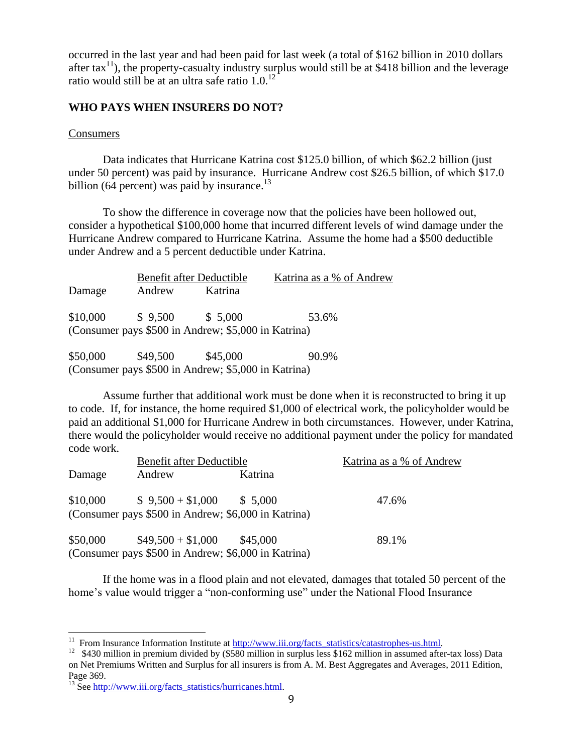occurred in the last year and had been paid for last week (a total of \$162 billion in 2010 dollars after tax<sup>11</sup>), the property-casualty industry surplus would still be at \$418 billion and the leverage ratio would still be at an ultra safe ratio 1.0.<sup>12</sup>

## **WHO PAYS WHEN INSURERS DO NOT?**

### Consumers

Data indicates that Hurricane Katrina cost \$125.0 billion, of which \$62.2 billion (just under 50 percent) was paid by insurance. Hurricane Andrew cost \$26.5 billion, of which \$17.0 billion (64 percent) was paid by insurance.<sup>13</sup>

To show the difference in coverage now that the policies have been hollowed out, consider a hypothetical \$100,000 home that incurred different levels of wind damage under the Hurricane Andrew compared to Hurricane Katrina. Assume the home had a \$500 deductible under Andrew and a 5 percent deductible under Katrina.

|          |          | Benefit after Deductible                            | Katrina as a % of Andrew |  |
|----------|----------|-----------------------------------------------------|--------------------------|--|
| Damage   | Andrew   | Katrina                                             |                          |  |
| \$10,000 | \$9,500  | \$ 5,000                                            | 53.6%                    |  |
|          |          | (Consumer pays \$500 in Andrew; \$5,000 in Katrina) |                          |  |
| \$50,000 | \$49,500 | \$45,000                                            | 90.9%                    |  |

(Consumer pays \$500 in Andrew; \$5,000 in Katrina)

Assume further that additional work must be done when it is reconstructed to bring it up to code. If, for instance, the home required \$1,000 of electrical work, the policyholder would be paid an additional \$1,000 for Hurricane Andrew in both circumstances. However, under Katrina, there would the policyholder would receive no additional payment under the policy for mandated code work.

|          | Benefit after Deductible                                                                              |          | Katrina as a % of Andrew |
|----------|-------------------------------------------------------------------------------------------------------|----------|--------------------------|
| Damage   | Andrew                                                                                                | Katrina  |                          |
|          | $$10,000 \qquad $9,500 + $1,000 \qquad $5,000$<br>(Consumer pays \$500 in Andrew; \$6,000 in Katrina) |          | 47.6%                    |
| \$50,000 | $$49,500 + $1,000$                                                                                    | \$45,000 | 89.1%                    |
|          | (Consumer pays \$500 in Andrew; \$6,000 in Katrina)                                                   |          |                          |

If the home was in a flood plain and not elevated, damages that totaled 50 percent of the home's value would trigger a "non-conforming use" under the National Flood Insurance

<sup>&</sup>lt;sup>11</sup> From Insurance Information Institute at [http://www.iii.org/facts\\_statistics/catastrophes-us.html.](http://www.iii.org/facts_statistics/catastrophes-us.html)

<sup>&</sup>lt;sup>12</sup> \$430 million in premium divided by (\$580 million in surplus less \$162 million in assumed after-tax loss) Data on Net Premiums Written and Surplus for all insurers is from A. M. Best Aggregates and Averages, 2011 Edition, Page 369.

<sup>&</sup>lt;sup>13</sup> See http://www.iii.org/facts\_statistics/hurricanes.html.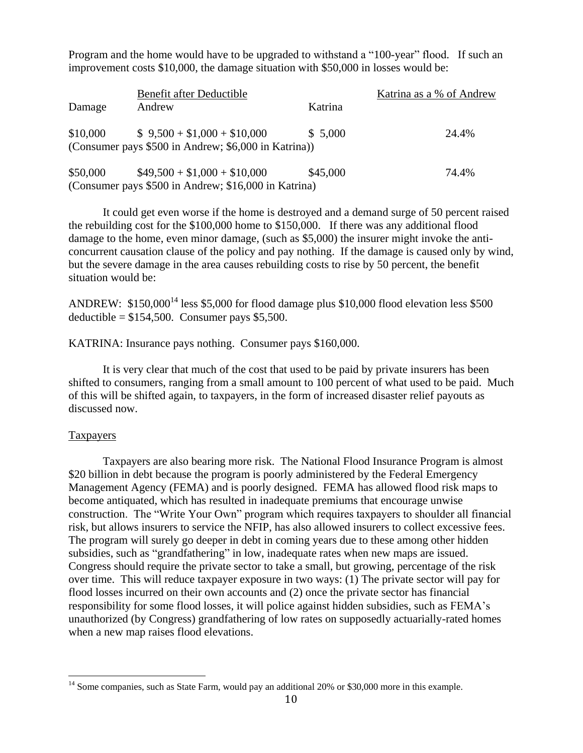Program and the home would have to be upgraded to withstand a "100-year" flood. If such an improvement costs \$10,000, the damage situation with \$50,000 in losses would be:

|          | Benefit after Deductible                                                            |          | Katrina as a % of Andrew |
|----------|-------------------------------------------------------------------------------------|----------|--------------------------|
| Damage   | Andrew                                                                              | Katrina  |                          |
| \$10,000 | $$9,500 + $1,000 + $10,000$<br>(Consumer pays \$500 in Andrew; \$6,000 in Katrina)) | \$5,000  | 24.4%                    |
| \$50,000 | $$49,500 + $1,000 + $10,000$                                                        | \$45,000 | 74.4%                    |
|          | (Consumer pays \$500 in Andrew; \$16,000 in Katrina)                                |          |                          |

It could get even worse if the home is destroyed and a demand surge of 50 percent raised the rebuilding cost for the \$100,000 home to \$150,000. If there was any additional flood damage to the home, even minor damage, (such as \$5,000) the insurer might invoke the anticoncurrent causation clause of the policy and pay nothing. If the damage is caused only by wind, but the severe damage in the area causes rebuilding costs to rise by 50 percent, the benefit situation would be:

ANDREW:  $$150,000^{14}$  less \$5,000 for flood damage plus \$10,000 flood elevation less \$500 deductible =  $$154,500$ . Consumer pays \$5,500.

KATRINA: Insurance pays nothing. Consumer pays \$160,000.

It is very clear that much of the cost that used to be paid by private insurers has been shifted to consumers, ranging from a small amount to 100 percent of what used to be paid. Much of this will be shifted again, to taxpayers, in the form of increased disaster relief payouts as discussed now.

### Taxpayers

 $\overline{a}$ 

Taxpayers are also bearing more risk. The National Flood Insurance Program is almost \$20 billion in debt because the program is poorly administered by the Federal Emergency Management Agency (FEMA) and is poorly designed. FEMA has allowed flood risk maps to become antiquated, which has resulted in inadequate premiums that encourage unwise construction. The "Write Your Own" program which requires taxpayers to shoulder all financial risk, but allows insurers to service the NFIP, has also allowed insurers to collect excessive fees. The program will surely go deeper in debt in coming years due to these among other hidden subsidies, such as "grandfathering" in low, inadequate rates when new maps are issued. Congress should require the private sector to take a small, but growing, percentage of the risk over time. This will reduce taxpayer exposure in two ways: (1) The private sector will pay for flood losses incurred on their own accounts and (2) once the private sector has financial responsibility for some flood losses, it will police against hidden subsidies, such as FEMA's unauthorized (by Congress) grandfathering of low rates on supposedly actuarially-rated homes when a new map raises flood elevations.

<sup>&</sup>lt;sup>14</sup> Some companies, such as State Farm, would pay an additional 20% or \$30,000 more in this example.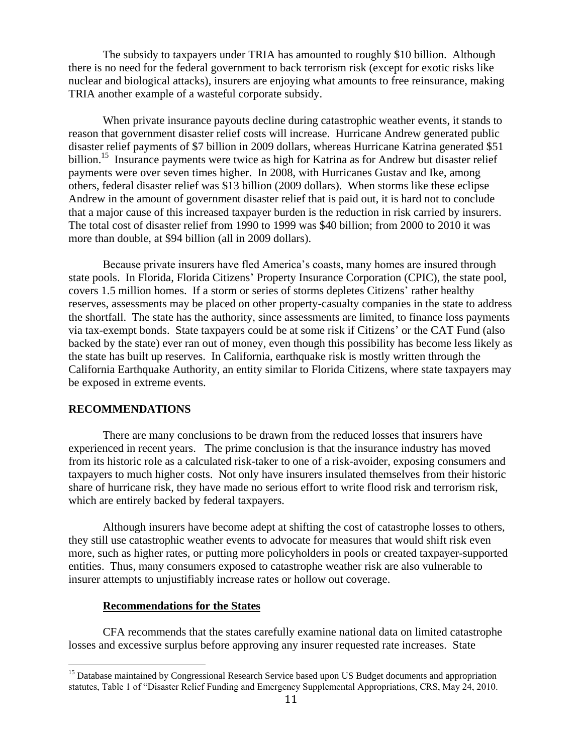The subsidy to taxpayers under TRIA has amounted to roughly \$10 billion. Although there is no need for the federal government to back terrorism risk (except for exotic risks like nuclear and biological attacks), insurers are enjoying what amounts to free reinsurance, making TRIA another example of a wasteful corporate subsidy.

When private insurance payouts decline during catastrophic weather events, it stands to reason that government disaster relief costs will increase. Hurricane Andrew generated public disaster relief payments of \$7 billion in 2009 dollars, whereas Hurricane Katrina generated \$51 billion.<sup>15</sup> Insurance payments were twice as high for Katrina as for Andrew but disaster relief payments were over seven times higher. In 2008, with Hurricanes Gustav and Ike, among others, federal disaster relief was \$13 billion (2009 dollars). When storms like these eclipse Andrew in the amount of government disaster relief that is paid out, it is hard not to conclude that a major cause of this increased taxpayer burden is the reduction in risk carried by insurers. The total cost of disaster relief from 1990 to 1999 was \$40 billion; from 2000 to 2010 it was more than double, at \$94 billion (all in 2009 dollars).

Because private insurers have fled America's coasts, many homes are insured through state pools. In Florida, Florida Citizens' Property Insurance Corporation (CPIC), the state pool, covers 1.5 million homes. If a storm or series of storms depletes Citizens' rather healthy reserves, assessments may be placed on other property-casualty companies in the state to address the shortfall. The state has the authority, since assessments are limited, to finance loss payments via tax-exempt bonds. State taxpayers could be at some risk if Citizens' or the CAT Fund (also backed by the state) ever ran out of money, even though this possibility has become less likely as the state has built up reserves. In California, earthquake risk is mostly written through the California Earthquake Authority, an entity similar to Florida Citizens, where state taxpayers may be exposed in extreme events.

### **RECOMMENDATIONS**

 $\overline{a}$ 

There are many conclusions to be drawn from the reduced losses that insurers have experienced in recent years. The prime conclusion is that the insurance industry has moved from its historic role as a calculated risk-taker to one of a risk-avoider, exposing consumers and taxpayers to much higher costs. Not only have insurers insulated themselves from their historic share of hurricane risk, they have made no serious effort to write flood risk and terrorism risk, which are entirely backed by federal taxpayers.

Although insurers have become adept at shifting the cost of catastrophe losses to others, they still use catastrophic weather events to advocate for measures that would shift risk even more, such as higher rates, or putting more policyholders in pools or created taxpayer-supported entities. Thus, many consumers exposed to catastrophe weather risk are also vulnerable to insurer attempts to unjustifiably increase rates or hollow out coverage.

### **Recommendations for the States**

CFA recommends that the states carefully examine national data on limited catastrophe losses and excessive surplus before approving any insurer requested rate increases. State

<sup>&</sup>lt;sup>15</sup> Database maintained by Congressional Research Service based upon US Budget documents and appropriation statutes, Table 1 of "Disaster Relief Funding and Emergency Supplemental Appropriations, CRS, May 24, 2010.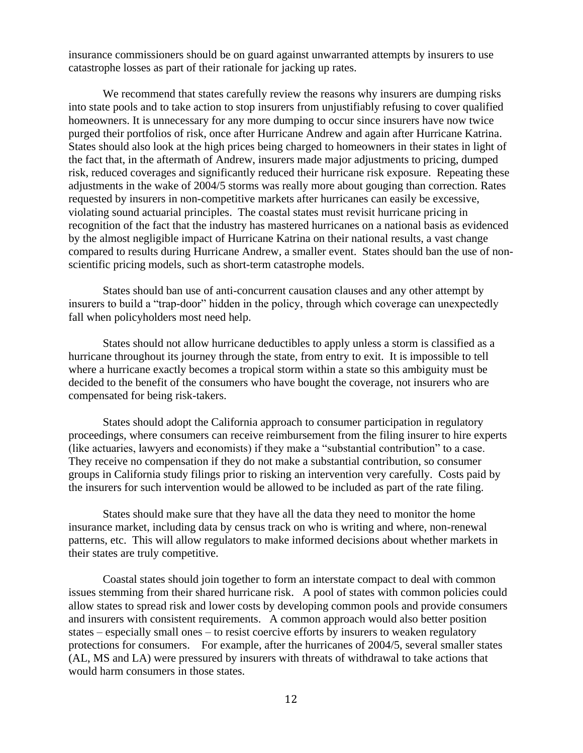insurance commissioners should be on guard against unwarranted attempts by insurers to use catastrophe losses as part of their rationale for jacking up rates.

We recommend that states carefully review the reasons why insurers are dumping risks into state pools and to take action to stop insurers from unjustifiably refusing to cover qualified homeowners. It is unnecessary for any more dumping to occur since insurers have now twice purged their portfolios of risk, once after Hurricane Andrew and again after Hurricane Katrina. States should also look at the high prices being charged to homeowners in their states in light of the fact that, in the aftermath of Andrew, insurers made major adjustments to pricing, dumped risk, reduced coverages and significantly reduced their hurricane risk exposure. Repeating these adjustments in the wake of 2004/5 storms was really more about gouging than correction. Rates requested by insurers in non-competitive markets after hurricanes can easily be excessive, violating sound actuarial principles. The coastal states must revisit hurricane pricing in recognition of the fact that the industry has mastered hurricanes on a national basis as evidenced by the almost negligible impact of Hurricane Katrina on their national results, a vast change compared to results during Hurricane Andrew, a smaller event. States should ban the use of nonscientific pricing models, such as short-term catastrophe models.

States should ban use of anti-concurrent causation clauses and any other attempt by insurers to build a "trap-door" hidden in the policy, through which coverage can unexpectedly fall when policyholders most need help.

States should not allow hurricane deductibles to apply unless a storm is classified as a hurricane throughout its journey through the state, from entry to exit. It is impossible to tell where a hurricane exactly becomes a tropical storm within a state so this ambiguity must be decided to the benefit of the consumers who have bought the coverage, not insurers who are compensated for being risk-takers.

States should adopt the California approach to consumer participation in regulatory proceedings, where consumers can receive reimbursement from the filing insurer to hire experts (like actuaries, lawyers and economists) if they make a "substantial contribution" to a case. They receive no compensation if they do not make a substantial contribution, so consumer groups in California study filings prior to risking an intervention very carefully. Costs paid by the insurers for such intervention would be allowed to be included as part of the rate filing.

States should make sure that they have all the data they need to monitor the home insurance market, including data by census track on who is writing and where, non-renewal patterns, etc. This will allow regulators to make informed decisions about whether markets in their states are truly competitive.

Coastal states should join together to form an interstate compact to deal with common issues stemming from their shared hurricane risk. A pool of states with common policies could allow states to spread risk and lower costs by developing common pools and provide consumers and insurers with consistent requirements. A common approach would also better position states – especially small ones – to resist coercive efforts by insurers to weaken regulatory protections for consumers. For example, after the hurricanes of 2004/5, several smaller states (AL, MS and LA) were pressured by insurers with threats of withdrawal to take actions that would harm consumers in those states.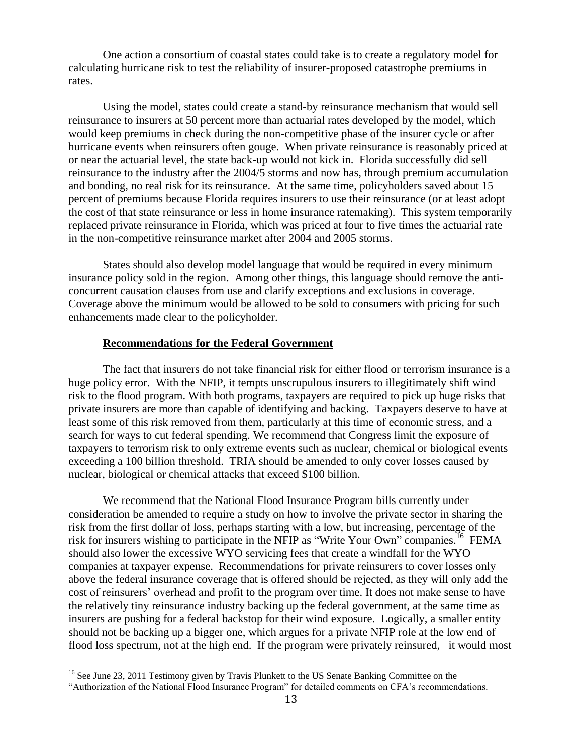One action a consortium of coastal states could take is to create a regulatory model for calculating hurricane risk to test the reliability of insurer-proposed catastrophe premiums in rates.

Using the model, states could create a stand-by reinsurance mechanism that would sell reinsurance to insurers at 50 percent more than actuarial rates developed by the model, which would keep premiums in check during the non-competitive phase of the insurer cycle or after hurricane events when reinsurers often gouge. When private reinsurance is reasonably priced at or near the actuarial level, the state back-up would not kick in. Florida successfully did sell reinsurance to the industry after the 2004/5 storms and now has, through premium accumulation and bonding, no real risk for its reinsurance. At the same time, policyholders saved about 15 percent of premiums because Florida requires insurers to use their reinsurance (or at least adopt the cost of that state reinsurance or less in home insurance ratemaking). This system temporarily replaced private reinsurance in Florida, which was priced at four to five times the actuarial rate in the non-competitive reinsurance market after 2004 and 2005 storms.

States should also develop model language that would be required in every minimum insurance policy sold in the region. Among other things, this language should remove the anticoncurrent causation clauses from use and clarify exceptions and exclusions in coverage. Coverage above the minimum would be allowed to be sold to consumers with pricing for such enhancements made clear to the policyholder.

### **Recommendations for the Federal Government**

The fact that insurers do not take financial risk for either flood or terrorism insurance is a huge policy error. With the NFIP, it tempts unscrupulous insurers to illegitimately shift wind risk to the flood program. With both programs, taxpayers are required to pick up huge risks that private insurers are more than capable of identifying and backing. Taxpayers deserve to have at least some of this risk removed from them, particularly at this time of economic stress, and a search for ways to cut federal spending. We recommend that Congress limit the exposure of taxpayers to terrorism risk to only extreme events such as nuclear, chemical or biological events exceeding a 100 billion threshold. TRIA should be amended to only cover losses caused by nuclear, biological or chemical attacks that exceed \$100 billion.

We recommend that the National Flood Insurance Program bills currently under consideration be amended to require a study on how to involve the private sector in sharing the risk from the first dollar of loss, perhaps starting with a low, but increasing, percentage of the risk for insurers wishing to participate in the NFIP as "Write Your Own" companies.<sup>16</sup> FEMA should also lower the excessive WYO servicing fees that create a windfall for the WYO companies at taxpayer expense. Recommendations for private reinsurers to cover losses only above the federal insurance coverage that is offered should be rejected, as they will only add the cost of reinsurers' overhead and profit to the program over time. It does not make sense to have the relatively tiny reinsurance industry backing up the federal government, at the same time as insurers are pushing for a federal backstop for their wind exposure. Logically, a smaller entity should not be backing up a bigger one, which argues for a private NFIP role at the low end of flood loss spectrum, not at the high end. If the program were privately reinsured, it would most

<sup>&</sup>lt;sup>16</sup> See June 23, 2011 Testimony given by Travis Plunkett to the US Senate Banking Committee on the

<sup>―</sup>Authorization of the National Flood Insurance Program‖ for detailed comments on CFA's recommendations.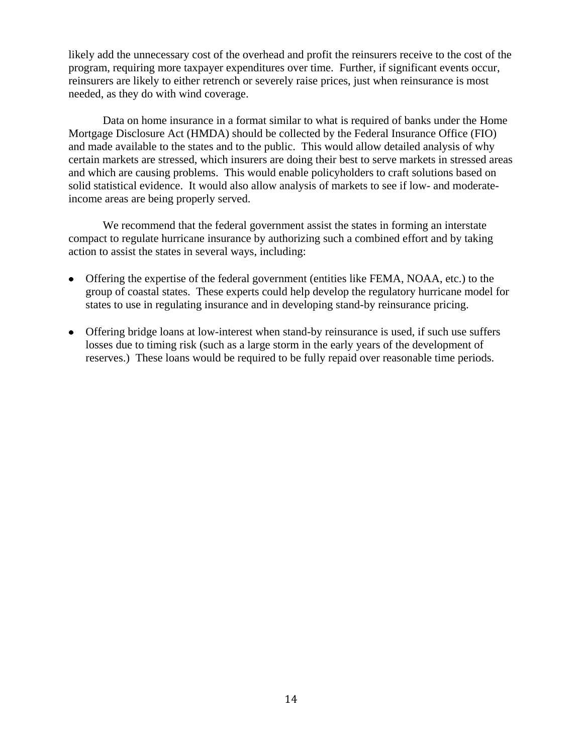likely add the unnecessary cost of the overhead and profit the reinsurers receive to the cost of the program, requiring more taxpayer expenditures over time. Further, if significant events occur, reinsurers are likely to either retrench or severely raise prices, just when reinsurance is most needed, as they do with wind coverage.

Data on home insurance in a format similar to what is required of banks under the Home Mortgage Disclosure Act (HMDA) should be collected by the Federal Insurance Office (FIO) and made available to the states and to the public. This would allow detailed analysis of why certain markets are stressed, which insurers are doing their best to serve markets in stressed areas and which are causing problems. This would enable policyholders to craft solutions based on solid statistical evidence. It would also allow analysis of markets to see if low- and moderateincome areas are being properly served.

We recommend that the federal government assist the states in forming an interstate compact to regulate hurricane insurance by authorizing such a combined effort and by taking action to assist the states in several ways, including:

- Offering the expertise of the federal government (entities like FEMA, NOAA, etc.) to the group of coastal states. These experts could help develop the regulatory hurricane model for states to use in regulating insurance and in developing stand-by reinsurance pricing.
- Offering bridge loans at low-interest when stand-by reinsurance is used, if such use suffers losses due to timing risk (such as a large storm in the early years of the development of reserves.) These loans would be required to be fully repaid over reasonable time periods.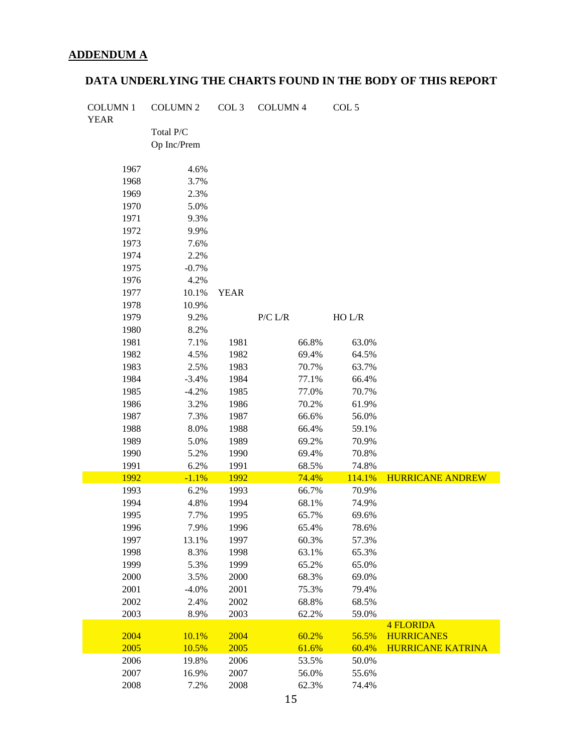# **ADDENDUM A**

# **DATA UNDERLYING THE CHARTS FOUND IN THE BODY OF THIS REPORT**

| <b>COLUMN1</b> | <b>COLUMN 2</b> | COL 3       | <b>COLUMN 4</b> | COL 5  |                          |
|----------------|-----------------|-------------|-----------------|--------|--------------------------|
| <b>YEAR</b>    |                 |             |                 |        |                          |
|                | Total P/C       |             |                 |        |                          |
|                | Op Inc/Prem     |             |                 |        |                          |
| 1967           | 4.6%            |             |                 |        |                          |
| 1968           | 3.7%            |             |                 |        |                          |
| 1969           | 2.3%            |             |                 |        |                          |
| 1970           | 5.0%            |             |                 |        |                          |
| 1971           | 9.3%            |             |                 |        |                          |
| 1972           | 9.9%            |             |                 |        |                          |
| 1973           | 7.6%            |             |                 |        |                          |
| 1974           | 2.2%            |             |                 |        |                          |
| 1975           | $-0.7%$         |             |                 |        |                          |
| 1976           | 4.2%            |             |                 |        |                          |
| 1977           | 10.1%           | <b>YEAR</b> |                 |        |                          |
| 1978           | 10.9%           |             |                 |        |                          |
| 1979           | 9.2%            |             | P/C L/R         | HO L/R |                          |
| 1980           | 8.2%            |             |                 |        |                          |
| 1981           | 7.1%            | 1981        | 66.8%           | 63.0%  |                          |
| 1982           | 4.5%            | 1982        | 69.4%           | 64.5%  |                          |
| 1983           | 2.5%            | 1983        | 70.7%           | 63.7%  |                          |
| 1984           | $-3.4%$         | 1984        | 77.1%           | 66.4%  |                          |
| 1985           | $-4.2%$         | 1985        | 77.0%           | 70.7%  |                          |
| 1986           | 3.2%            | 1986        | 70.2%           | 61.9%  |                          |
| 1987           | 7.3%            | 1987        | 66.6%           | 56.0%  |                          |
| 1988           | 8.0%            | 1988        | 66.4%           | 59.1%  |                          |
| 1989           | 5.0%            | 1989        | 69.2%           | 70.9%  |                          |
| 1990           | 5.2%            | 1990        | 69.4%           | 70.8%  |                          |
| 1991           | 6.2%            | 1991        | 68.5%           | 74.8%  |                          |
| 1992           | $-1.1%$         | 1992        | 74.4%           | 114.1% | <b>HURRICANE ANDREW</b>  |
| 1993           | 6.2%            | 1993        | 66.7%           | 70.9%  |                          |
| 1994           | 4.8%            | 1994        | 68.1%           | 74.9%  |                          |
| 1995           | 7.7%            | 1995        | 65.7%           | 69.6%  |                          |
| 1996           | 7.9%            | 1996        | 65.4%           | 78.6%  |                          |
| 1997           | 13.1%           | 1997        | 60.3%           | 57.3%  |                          |
| 1998           | 8.3%            | 1998        | 63.1%           | 65.3%  |                          |
| 1999           | 5.3%            | 1999        | 65.2%           | 65.0%  |                          |
| 2000           | 3.5%            | 2000        | 68.3%           | 69.0%  |                          |
| 2001           | $-4.0%$         | 2001        | 75.3%           | 79.4%  |                          |
| 2002           | 2.4%            | 2002        | 68.8%           | 68.5%  |                          |
| 2003           | 8.9%            | 2003        | 62.2%           | 59.0%  |                          |
|                |                 |             |                 |        | <b>4 FLORIDA</b>         |
| 2004           | 10.1%           | 2004        | 60.2%           | 56.5%  | <b>HURRICANES</b>        |
| 2005           | 10.5%           | 2005        | 61.6%           | 60.4%  | <b>HURRICANE KATRINA</b> |
| 2006           | 19.8%           | 2006        | 53.5%           | 50.0%  |                          |
| 2007           | 16.9%           | 2007        | 56.0%           | 55.6%  |                          |
| 2008           | 7.2%            | 2008        | 62.3%           | 74.4%  |                          |
|                |                 |             |                 |        |                          |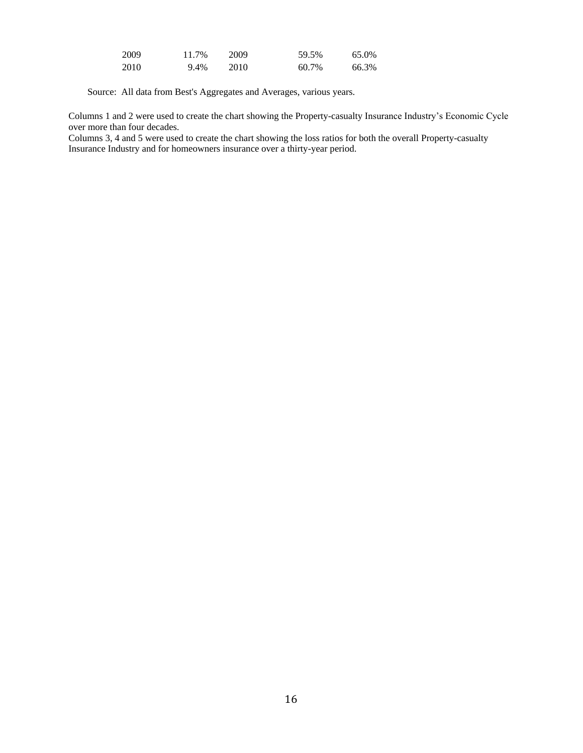| 2009 | 11.7% | 2009 | 59.5% | 65.0% |
|------|-------|------|-------|-------|
| 2010 | 9.4%  | 2010 | 60.7% | 66.3% |

Source: All data from Best's Aggregates and Averages, various years.

Columns 1 and 2 were used to create the chart showing the Property-casualty Insurance Industry's Economic Cycle over more than four decades.

Columns 3, 4 and 5 were used to create the chart showing the loss ratios for both the overall Property-casualty Insurance Industry and for homeowners insurance over a thirty-year period.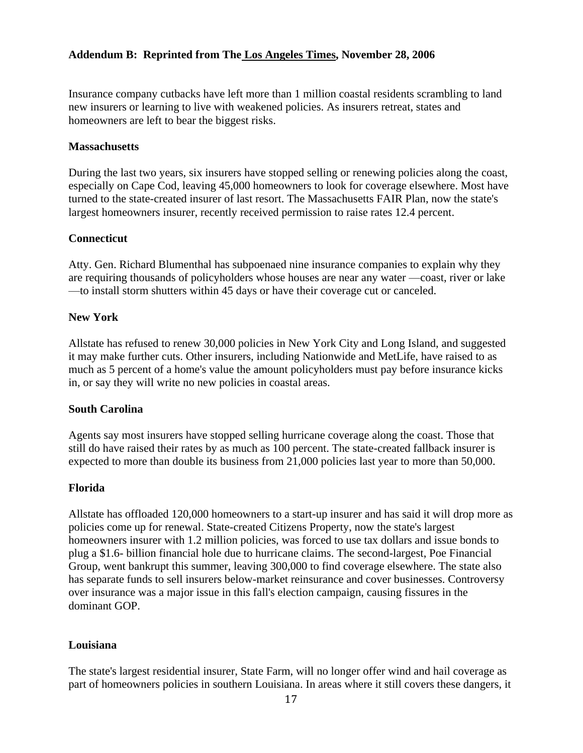# **Addendum B: Reprinted from The Los Angeles Times, November 28, 2006**

Insurance company cutbacks have left more than 1 million coastal residents scrambling to land new insurers or learning to live with weakened policies. As insurers retreat, states and homeowners are left to bear the biggest risks.

### **Massachusetts**

During the last two years, six insurers have stopped selling or renewing policies along the coast, especially on Cape Cod, leaving 45,000 homeowners to look for coverage elsewhere. Most have turned to the state-created insurer of last resort. The Massachusetts FAIR Plan, now the state's largest homeowners insurer, recently received permission to raise rates 12.4 percent.

### **Connecticut**

Atty. Gen. Richard Blumenthal has subpoenaed nine insurance companies to explain why they are requiring thousands of policyholders whose houses are near any water —coast, river or lake —to install storm shutters within 45 days or have their coverage cut or canceled.

### **New York**

Allstate has refused to renew 30,000 policies in New York City and Long Island, and suggested it may make further cuts. Other insurers, including Nationwide and MetLife, have raised to as much as 5 percent of a home's value the amount policyholders must pay before insurance kicks in, or say they will write no new policies in coastal areas.

### **South Carolina**

Agents say most insurers have stopped selling hurricane coverage along the coast. Those that still do have raised their rates by as much as 100 percent. The state-created fallback insurer is expected to more than double its business from 21,000 policies last year to more than 50,000.

### **Florida**

Allstate has offloaded 120,000 homeowners to a start-up insurer and has said it will drop more as policies come up for renewal. State-created Citizens Property, now the state's largest homeowners insurer with 1.2 million policies, was forced to use tax dollars and issue bonds to plug a \$1.6- billion financial hole due to hurricane claims. The second-largest, Poe Financial Group, went bankrupt this summer, leaving 300,000 to find coverage elsewhere. The state also has separate funds to sell insurers below-market reinsurance and cover businesses. Controversy over insurance was a major issue in this fall's election campaign, causing fissures in the dominant GOP.

### **Louisiana**

The state's largest residential insurer, State Farm, will no longer offer wind and hail coverage as part of homeowners policies in southern Louisiana. In areas where it still covers these dangers, it